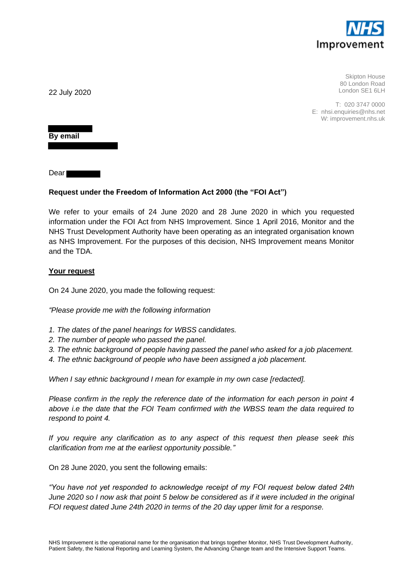

Skipton House 80 London Road London SE1 6LH

T: 020 3747 0000 E: nhsi.enquiries@nhs.net W: improvement.nhs.uk

22 July 2020

**By email**

Dear

# **Request under the Freedom of Information Act 2000 (the "FOI Act")**

We refer to your emails of 24 June 2020 and 28 June 2020 in which you requested information under the FOI Act from NHS Improvement. Since 1 April 2016, Monitor and the NHS Trust Development Authority have been operating as an integrated organisation known as NHS Improvement. For the purposes of this decision, NHS Improvement means Monitor and the TDA.

### **Your request**

On 24 June 2020, you made the following request:

*"Please provide me with the following information*

- *1. The dates of the panel hearings for WBSS candidates.*
- *2. The number of people who passed the panel.*
- *3. The ethnic background of people having passed the panel who asked for a job placement.*
- *4. The ethnic background of people who have been assigned a job placement.*

*When I say ethnic background I mean for example in my own case [redacted].*

*Please confirm in the reply the reference date of the information for each person in point 4 above i.e the date that the FOI Team confirmed with the WBSS team the data required to respond to point 4.*

*If you require any clarification as to any aspect of this request then please seek this clarification from me at the earliest opportunity possible."*

On 28 June 2020, you sent the following emails:

*"You have not yet responded to acknowledge receipt of my FOI request below dated 24th June 2020 so I now ask that point 5 below be considered as if it were included in the original FOI request dated June 24th 2020 in terms of the 20 day upper limit for a response.*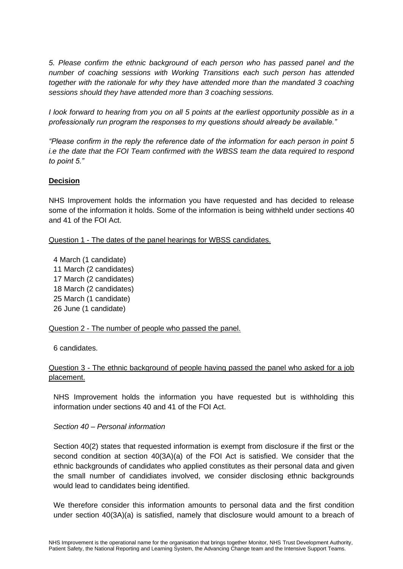*5. Please confirm the ethnic background of each person who has passed panel and the number of coaching sessions with Working Transitions each such person has attended together with the rationale for why they have attended more than the mandated 3 coaching sessions should they have attended more than 3 coaching sessions.*

*I look forward to hearing from you on all 5 points at the earliest opportunity possible as in a professionally run program the responses to my questions should already be available."*

*"Please confirm in the reply the reference date of the information for each person in point 5 i.e the date that the FOI Team confirmed with the WBSS team the data required to respond to point 5."*

# **Decision**

NHS Improvement holds the information you have requested and has decided to release some of the information it holds. Some of the information is being withheld under sections 40 and 41 of the FOI Act.

Question 1 - The dates of the panel hearings for WBSS candidates.

4 March (1 candidate) 11 March (2 candidates) 17 March (2 candidates) 18 March (2 candidates) 25 March (1 candidate) 26 June (1 candidate)

### Question 2 - The number of people who passed the panel.

6 candidates.

# Question 3 - The ethnic background of people having passed the panel who asked for a job placement.

NHS Improvement holds the information you have requested but is withholding this information under sections 40 and 41 of the FOI Act.

#### *Section 40 – Personal information*

Section 40(2) states that requested information is exempt from disclosure if the first or the second condition at section 40(3A)(a) of the FOI Act is satisfied. We consider that the ethnic backgrounds of candidates who applied constitutes as their personal data and given the small number of candidiates involved, we consider disclosing ethnic backgrounds would lead to candidates being identified.

We therefore consider this information amounts to personal data and the first condition under section 40(3A)(a) is satisfied, namely that disclosure would amount to a breach of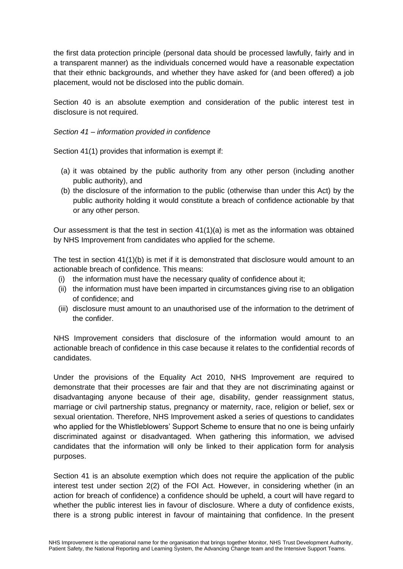the first data protection principle (personal data should be processed lawfully, fairly and in a transparent manner) as the individuals concerned would have a reasonable expectation that their ethnic backgrounds, and whether they have asked for (and been offered) a job placement, would not be disclosed into the public domain.

Section 40 is an absolute exemption and consideration of the public interest test in disclosure is not required.

*Section 41 – information provided in confidence*

Section 41(1) provides that information is exempt if:

- (a) it was obtained by the public authority from any other person (including another public authority), and
- (b) the disclosure of the information to the public (otherwise than under this Act) by the public authority holding it would constitute a breach of confidence actionable by that or any other person.

Our assessment is that the test in section 41(1)(a) is met as the information was obtained by NHS Improvement from candidates who applied for the scheme.

The test in section 41(1)(b) is met if it is demonstrated that disclosure would amount to an actionable breach of confidence. This means:

- (i) the information must have the necessary quality of confidence about it;
- (ii) the information must have been imparted in circumstances giving rise to an obligation of confidence; and
- (iii) disclosure must amount to an unauthorised use of the information to the detriment of the confider.

NHS Improvement considers that disclosure of the information would amount to an actionable breach of confidence in this case because it relates to the confidential records of candidates.

Under the provisions of the Equality Act 2010, NHS Improvement are required to demonstrate that their processes are fair and that they are not discriminating against or disadvantaging anyone because of their age, disability, gender reassignment status, marriage or civil partnership status, pregnancy or maternity, race, religion or belief, sex or sexual orientation. Therefore, NHS Improvement asked a series of questions to candidates who applied for the Whistleblowers' Support Scheme to ensure that no one is being unfairly discriminated against or disadvantaged. When gathering this information, we advised candidates that the information will only be linked to their application form for analysis purposes.

Section 41 is an absolute exemption which does not require the application of the public interest test under section 2(2) of the FOI Act. However, in considering whether (in an action for breach of confidence) a confidence should be upheld, a court will have regard to whether the public interest lies in favour of disclosure. Where a duty of confidence exists, there is a strong public interest in favour of maintaining that confidence. In the present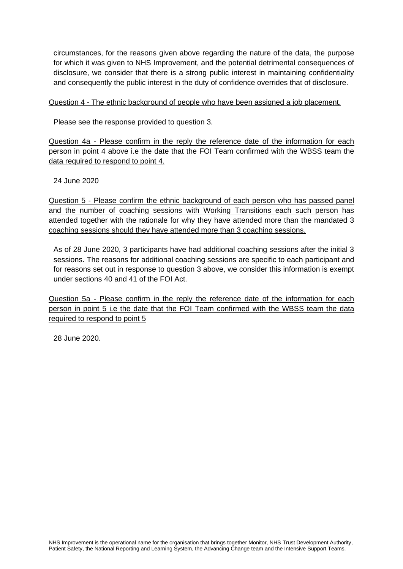circumstances, for the reasons given above regarding the nature of the data, the purpose for which it was given to NHS Improvement, and the potential detrimental consequences of disclosure, we consider that there is a strong public interest in maintaining confidentiality and consequently the public interest in the duty of confidence overrides that of disclosure.

### Question 4 - The ethnic background of people who have been assigned a job placement.

Please see the response provided to question 3.

Question 4a - Please confirm in the reply the reference date of the information for each person in point 4 above i.e the date that the FOI Team confirmed with the WBSS team the data required to respond to point 4.

24 June 2020

Question 5 - Please confirm the ethnic background of each person who has passed panel and the number of coaching sessions with Working Transitions each such person has attended together with the rationale for why they have attended more than the mandated 3 coaching sessions should they have attended more than 3 coaching sessions.

As of 28 June 2020, 3 participants have had additional coaching sessions after the initial 3 sessions. The reasons for additional coaching sessions are specific to each participant and for reasons set out in response to question 3 above, we consider this information is exempt under sections 40 and 41 of the FOI Act.

Question 5a - Please confirm in the reply the reference date of the information for each person in point 5 i.e the date that the FOI Team confirmed with the WBSS team the data required to respond to point 5

28 June 2020.